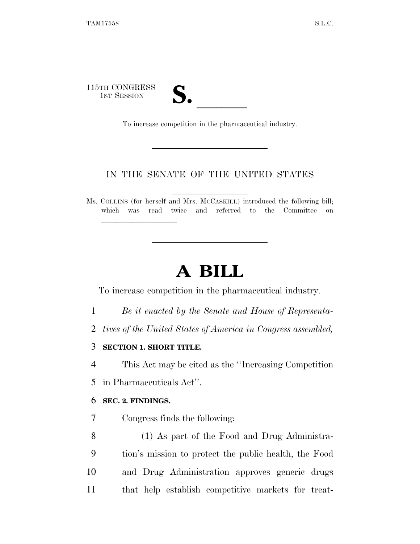115TH CONGRESS TH CONGRESS<br>1st Session **S. All and S. All and S. All and S. All and S. All and S. All and S. All and S. All and S. To increase competition in the pharmaceutical industry.** 

lla se al constituir a la constituir a la constituir a la constituir a la constituir a la constituir a la cons<br>La constituir a la constituir a la constituir a la constituir a la constituir a la constituir a la constituir

### IN THE SENATE OF THE UNITED STATES

Ms. COLLINS (for herself and Mrs. McCASKILL) introduced the following bill; which was read twice and referred to the Committee on

## **A BILL**

To increase competition in the pharmaceutical industry.

- 1 *Be it enacted by the Senate and House of Representa-*
- 2 *tives of the United States of America in Congress assembled,*
- 3 **SECTION 1. SHORT TITLE.**

4 This Act may be cited as the ''Increasing Competition

5 in Pharmaceuticals Act''.

#### 6 **SEC. 2. FINDINGS.**

- 7 Congress finds the following:
- 8 (1) As part of the Food and Drug Administra-9 tion's mission to protect the public health, the Food 10 and Drug Administration approves generic drugs 11 that help establish competitive markets for treat-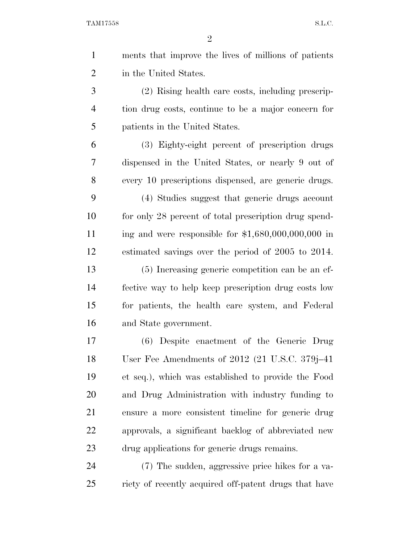TAM17558 S.L.C.

| $\mathbf{1}$   | ments that improve the lives of millions of patients  |
|----------------|-------------------------------------------------------|
| $\overline{2}$ | in the United States.                                 |
| 3              | (2) Rising health care costs, including prescrip-     |
| $\overline{4}$ | tion drug costs, continue to be a major concern for   |
| 5              | patients in the United States.                        |
| 6              | (3) Eighty-eight percent of prescription drugs        |
| 7              | dispensed in the United States, or nearly 9 out of    |
| $8\,$          | every 10 prescriptions dispensed, are generic drugs.  |
| 9              | (4) Studies suggest that generic drugs account        |
| 10             | for only 28 percent of total prescription drug spend- |
| 11             | ing and were responsible for $$1,680,000,000,000$ in  |
| 12             | estimated savings over the period of 2005 to 2014.    |
| 13             | (5) Increasing generic competition can be an ef-      |
| 14             | fective way to help keep prescription drug costs low  |
| 15             | for patients, the health care system, and Federal     |
| 16             | and State government.                                 |
| 17             | (6) Despite enactment of the Generic Drug             |
| 18             | User Fee Amendments of $2012$ (21 U.S.C. 379j-41)     |
| 19             | et seq.), which was established to provide the Food   |
| 20             | and Drug Administration with industry funding to      |
| 21             | ensure a more consistent timeline for generic drug    |
| 22             | approvals, a significant backlog of abbreviated new   |
| 23             | drug applications for generic drugs remains.          |
| 24             | (7) The sudden, aggressive price hikes for a va-      |
| 25             | riety of recently acquired off-patent drugs that have |
|                |                                                       |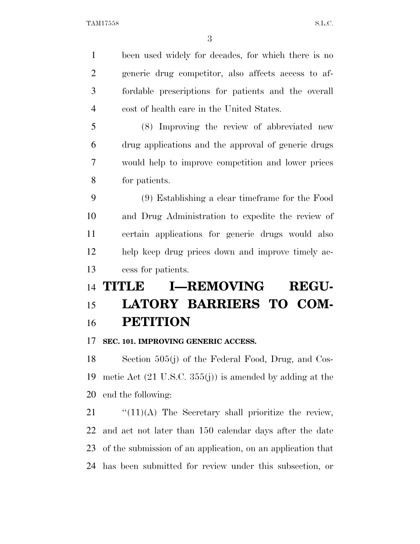been used widely for decades, for which there is no generic drug competitor, also affects access to af- fordable prescriptions for patients and the overall cost of health care in the United States.

 (8) Improving the review of abbreviated new drug applications and the approval of generic drugs would help to improve competition and lower prices for patients.

 (9) Establishing a clear timeframe for the Food and Drug Administration to expedite the review of certain applications for generic drugs would also help keep drug prices down and improve timely ac-cess for patients.

# **TITLE I—REMOVING REGU- LATORY BARRIERS TO COM-PETITION**

#### **SEC. 101. IMPROVING GENERIC ACCESS.**

 Section 505(j) of the Federal Food, Drug, and Cos- metic Act (21 U.S.C. 355(j)) is amended by adding at the end the following:

 "(11)(A) The Secretary shall prioritize the review, and act not later than 150 calendar days after the date of the submission of an application, on an application that has been submitted for review under this subsection, or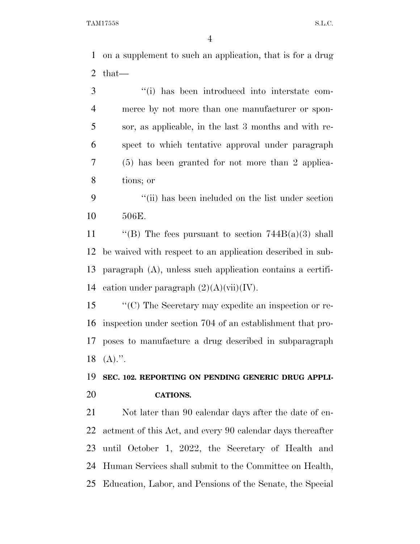on a supplement to such an application, that is for a drug that—

 ''(i) has been introduced into interstate com- merce by not more than one manufacturer or spon- sor, as applicable, in the last 3 months and with re- spect to which tentative approval under paragraph (5) has been granted for not more than 2 applica-tions; or

 ''(ii) has been included on the list under section 506E.

 $\text{``(B)}$  The fees pursuant to section 744B(a)(3) shall be waived with respect to an application described in sub- paragraph (A), unless such application contains a certifi-14 cation under paragraph  $(2)(A)(\n{\rm vii})(IV)$ .

 ''(C) The Secretary may expedite an inspection or re- inspection under section 704 of an establishment that pro- poses to manufacture a drug described in subparagraph (A).".

### **SEC. 102. REPORTING ON PENDING GENERIC DRUG APPLI-CATIONS.**

 Not later than 90 calendar days after the date of en- actment of this Act, and every 90 calendar days thereafter until October 1, 2022, the Secretary of Health and Human Services shall submit to the Committee on Health, Education, Labor, and Pensions of the Senate, the Special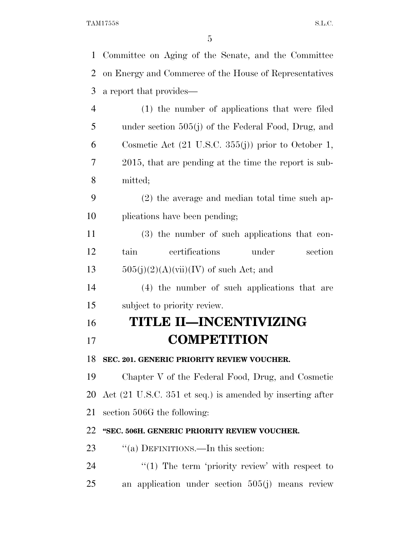| $\mathbf{1}$   | Committee on Aging of the Senate, and the Committee                          |
|----------------|------------------------------------------------------------------------------|
| $\overline{2}$ | on Energy and Commerce of the House of Representatives                       |
| 3              | a report that provides—                                                      |
| $\overline{4}$ | (1) the number of applications that were filed                               |
| 5              | under section 505(j) of the Federal Food, Drug, and                          |
| 6              | Cosmetic Act $(21 \text{ U.S.C. } 355(j))$ prior to October 1,               |
| 7              | 2015, that are pending at the time the report is sub-                        |
| 8              | mitted;                                                                      |
| 9              | $(2)$ the average and median total time such ap-                             |
| 10             | plications have been pending;                                                |
| 11             | (3) the number of such applications that con-                                |
| 12             | certifications<br>tain<br>under<br>section                                   |
| 13             | $505(j)(2)(A)(vii)(IV)$ of such Act; and                                     |
| 14             | (4) the number of such applications that are                                 |
| 15             | subject to priority review.                                                  |
| 16             | <b>TITLE II-INCENTIVIZING</b>                                                |
| 17             | <b>COMPETITION</b>                                                           |
| 18             | SEC. 201. GENERIC PRIORITY REVIEW VOUCHER.                                   |
| 19             | Chapter V of the Federal Food, Drug, and Cosmetic                            |
| 20             | Act $(21 \text{ U.S.C. } 351 \text{ et seq.})$ is amended by inserting after |
| 21             | section 506G the following:                                                  |
| 22             | "SEC. 506H. GENERIC PRIORITY REVIEW VOUCHER.                                 |
| 23             | "(a) DEFINITIONS.—In this section:                                           |
| 24             | $\lq(1)$ The term 'priority review' with respect to                          |
| 25             | an application under section $505(j)$ means review                           |
|                |                                                                              |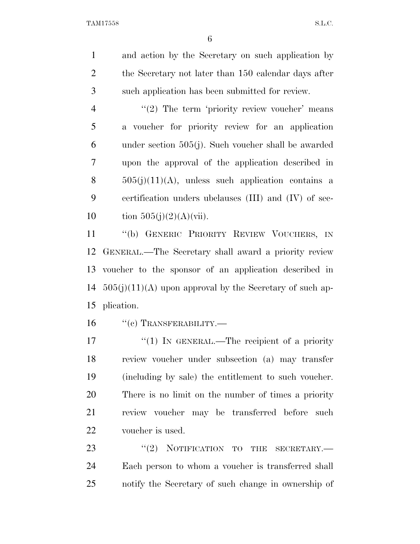and action by the Secretary on such application by 2 the Secretary not later than 150 calendar days after such application has been submitted for review.

4 "(2) The term 'priority review voucher' means a voucher for priority review for an application under section 505(j). Such voucher shall be awarded upon the approval of the application described in  $505(j)(11)(A)$ , unless such application contains a certification unders ubclauses (III) and (IV) of sec-10 tion  $505(j)(2)(A)(vii)$ .

 ''(b) GENERIC PRIORITY REVIEW VOUCHERS, IN GENERAL.—The Secretary shall award a priority review voucher to the sponsor of an application described in  $505(i)(11)(A)$  upon approval by the Secretary of such ap-plication.

16 "(c) TRANSFERABILITY.—

 $\frac{17}{2}$   $\frac{17}{2}$  IN GENERAL.—The recipient of a priority review voucher under subsection (a) may transfer (including by sale) the entitlement to such voucher. There is no limit on the number of times a priority review voucher may be transferred before such voucher is used.

23 "(2) NOTIFICATION TO THE SECRETARY.— Each person to whom a voucher is transferred shall notify the Secretary of such change in ownership of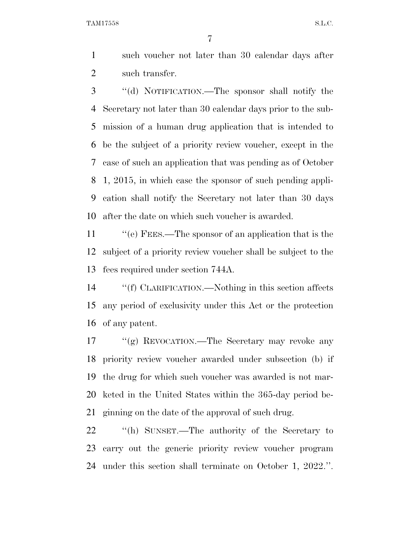TAM17558 S.L.C.

 such voucher not later than 30 calendar days after such transfer.

 ''(d) NOTIFICATION.—The sponsor shall notify the Secretary not later than 30 calendar days prior to the sub- mission of a human drug application that is intended to be the subject of a priority review voucher, except in the case of such an application that was pending as of October 1, 2015, in which case the sponsor of such pending appli- cation shall notify the Secretary not later than 30 days after the date on which such voucher is awarded.

 ''(e) FEES.—The sponsor of an application that is the subject of a priority review voucher shall be subject to the fees required under section 744A.

 ''(f) CLARIFICATION.—Nothing in this section affects any period of exclusivity under this Act or the protection of any patent.

17 "(g) REVOCATION.—The Secretary may revoke any priority review voucher awarded under subsection (b) if the drug for which such voucher was awarded is not mar- keted in the United States within the 365-day period be-ginning on the date of the approval of such drug.

 ''(h) SUNSET.—The authority of the Secretary to carry out the generic priority review voucher program under this section shall terminate on October 1, 2022.''.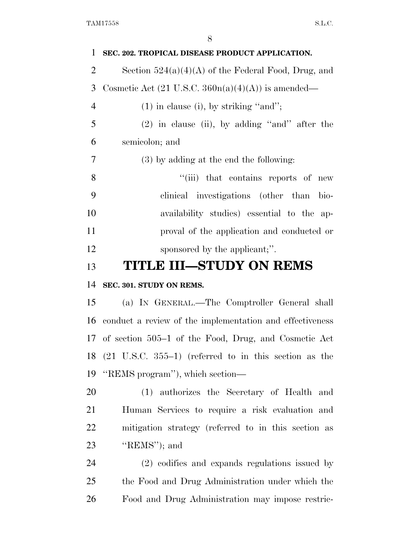| 1              | SEC. 202. TROPICAL DISEASE PRODUCT APPLICATION.                     |
|----------------|---------------------------------------------------------------------|
| $\overline{2}$ | Section $524(a)(4)(A)$ of the Federal Food, Drug, and               |
| 3              | Cosmetic Act $(21 \text{ U.S.C. } 360n(a)(4)(A))$ is amended—       |
| $\overline{4}$ | $(1)$ in clause (i), by striking "and";                             |
| 5              | $(2)$ in clause (ii), by adding "and" after the                     |
| 6              | semicolon; and                                                      |
| 7              | $(3)$ by adding at the end the following:                           |
| 8              | "(iii) that contains reports of new                                 |
| 9              | clinical investigations (other than<br>bio-                         |
| 10             | availability studies) essential to the ap-                          |
| 11             | proval of the application and conducted or                          |
| 12             | sponsored by the applicant;".                                       |
| 13             | <b>TITLE III–STUDY ON REMS</b>                                      |
| 14             | SEC. 301. STUDY ON REMS.                                            |
| 15             | (a) IN GENERAL.—The Comptroller General shall                       |
| 16             | conduct a review of the implementation and effectiveness            |
|                | 17 of section 505–1 of the Food, Drug, and Cosmetic Act             |
|                | 18 $(21 \text{ U.S.C. } 355-1)$ (referred to in this section as the |
| 19             | "REMS program"), which section—                                     |
| 20             | (1) authorizes the Secretary of Health and                          |
| 21             | Human Services to require a risk evaluation and                     |
| 22             | mitigation strategy (referred to in this section as                 |
| 23             | " $REMS"$ ); and                                                    |
| 24             | (2) codifies and expands regulations issued by                      |
| 25             | the Food and Drug Administration under which the                    |
| 26             | Food and Drug Administration may impose restric-                    |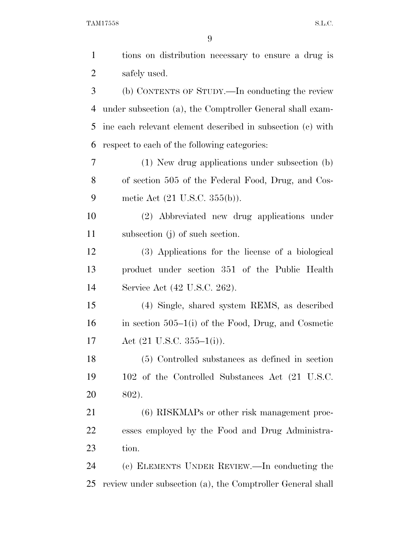TAM17558 S.L.C.

| $\mathbf{1}$   | tions on distribution necessary to ensure a drug is        |
|----------------|------------------------------------------------------------|
| $\overline{2}$ | safely used.                                               |
| 3              | (b) CONTENTS OF STUDY.—In conducting the review            |
| 4              | under subsection (a), the Comptroller General shall exam-  |
| 5              | ine each relevant element described in subsection (c) with |
| 6              | respect to each of the following categories:               |
| 7              | (1) New drug applications under subsection (b)             |
| 8              | of section 505 of the Federal Food, Drug, and Cos-         |
| 9              | metic Act $(21 \text{ U.S.C. } 355(b))$ .                  |
| 10             | (2) Abbreviated new drug applications under                |
| 11             | subsection (j) of such section.                            |
| 12             | (3) Applications for the license of a biological           |
| 13             | product under section 351 of the Public Health             |
| 14             | Service Act (42 U.S.C. 262).                               |
| 15             | (4) Single, shared system REMS, as described               |
| 16             | in section $505-1(i)$ of the Food, Drug, and Cosmetic      |
| 17             | Act $(21 \text{ U.S.C. } 355-1(i))$ .                      |
| 18             | (5) Controlled substances as defined in section            |
| 19             | 102 of the Controlled Substances Act (21 U.S.C.            |
| 20             | 802).                                                      |
| 21             | (6) RISKMAPs or other risk management proc-                |
| 22             | esses employed by the Food and Drug Administra-            |
| 23             | tion.                                                      |
| 24             | (c) ELEMENTS UNDER REVIEW.—In conducting the               |
| 25             | review under subsection (a), the Comptroller General shall |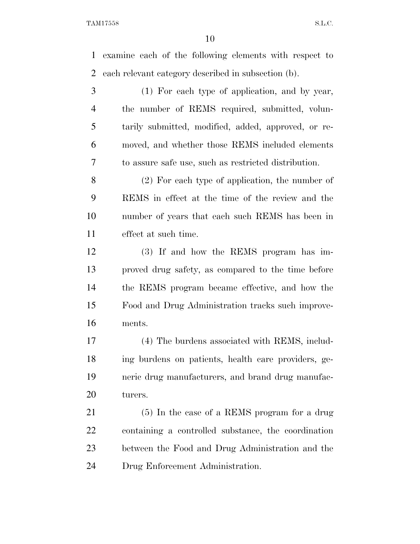examine each of the following elements with respect to each relevant category described in subsection (b).

 (1) For each type of application, and by year, the number of REMS required, submitted, volun- tarily submitted, modified, added, approved, or re- moved, and whether those REMS included elements to assure safe use, such as restricted distribution.

 (2) For each type of application, the number of REMS in effect at the time of the review and the number of years that each such REMS has been in effect at such time.

 (3) If and how the REMS program has im- proved drug safety, as compared to the time before the REMS program became effective, and how the Food and Drug Administration tracks such improve-ments.

 (4) The burdens associated with REMS, includ- ing burdens on patients, health care providers, ge- neric drug manufacturers, and brand drug manufac-turers.

 (5) In the case of a REMS program for a drug containing a controlled substance, the coordination between the Food and Drug Administration and the Drug Enforcement Administration.